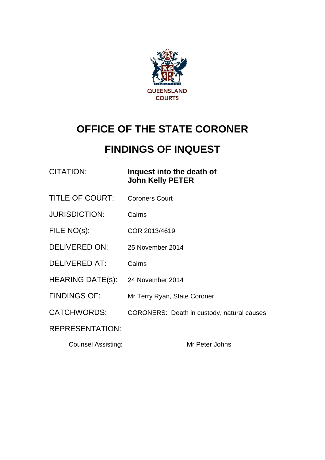

# **OFFICE OF THE STATE CORONER**

# **FINDINGS OF INQUEST**

| <b>CITATION:</b> |  |
|------------------|--|
|------------------|--|

#### **Inquest into the death of John Kelly PETER**

- TITLE OF COURT: Coroners Court
- JURISDICTION: Cairns
- FILE NO(s): COR 2013/4619
- DELIVERED ON: 25 November 2014
- DELIVERED AT: Cairns
- HEARING DATE(s): 24 November 2014
- FINDINGS OF: Mr Terry Ryan, State Coroner
- CATCHWORDS: CORONERS: Death in custody, natural causes

#### REPRESENTATION:

Counsel Assisting: Mr Peter Johns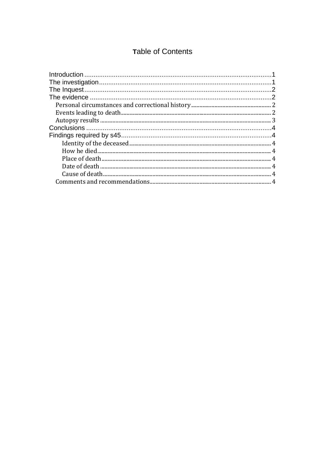### Table of Contents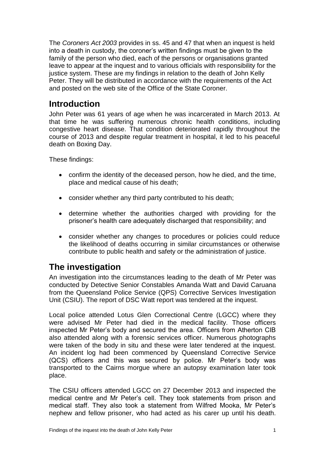The *Coroners Act 2003* provides in ss. 45 and 47 that when an inquest is held into a death in custody, the coroner's written findings must be given to the family of the person who died, each of the persons or organisations granted leave to appear at the inquest and to various officials with responsibility for the justice system. These are my findings in relation to the death of John Kelly Peter. They will be distributed in accordance with the requirements of the Act and posted on the web site of the Office of the State Coroner.

### <span id="page-2-0"></span>**Introduction**

John Peter was 61 years of age when he was incarcerated in March 2013. At that time he was suffering numerous chronic health conditions, including congestive heart disease. That condition deteriorated rapidly throughout the course of 2013 and despite regular treatment in hospital, it led to his peaceful death on Boxing Day.

These findings:

- confirm the identity of the deceased person, how he died, and the time, place and medical cause of his death;
- consider whether any third party contributed to his death;
- determine whether the authorities charged with providing for the prisoner's health care adequately discharged that responsibility; and
- consider whether any changes to procedures or policies could reduce the likelihood of deaths occurring in similar circumstances or otherwise contribute to public health and safety or the administration of justice.

# <span id="page-2-1"></span>**The investigation**

An investigation into the circumstances leading to the death of Mr Peter was conducted by Detective Senior Constables Amanda Watt and David Caruana from the Queensland Police Service (QPS) Corrective Services Investigation Unit (CSIU). The report of DSC Watt report was tendered at the inquest.

Local police attended Lotus Glen Correctional Centre (LGCC) where they were advised Mr Peter had died in the medical facility. Those officers inspected Mr Peter's body and secured the area. Officers from Atherton CIB also attended along with a forensic services officer. Numerous photographs were taken of the body in situ and these were later tendered at the inquest. An incident log had been commenced by Queensland Corrective Service (QCS) officers and this was secured by police. Mr Peter's body was transported to the Cairns morgue where an autopsy examination later took place.

The CSIU officers attended LGCC on 27 December 2013 and inspected the medical centre and Mr Peter's cell. They took statements from prison and medical staff. They also took a statement from Wilfred Mooka, Mr Peter's nephew and fellow prisoner, who had acted as his carer up until his death.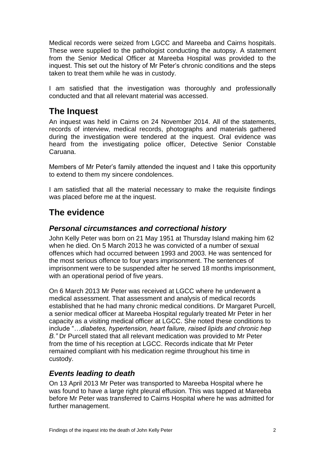Medical records were seized from LGCC and Mareeba and Cairns hospitals. These were supplied to the pathologist conducting the autopsy. A statement from the Senior Medical Officer at Mareeba Hospital was provided to the inquest. This set out the history of Mr Peter's chronic conditions and the steps taken to treat them while he was in custody.

I am satisfied that the investigation was thoroughly and professionally conducted and that all relevant material was accessed.

## <span id="page-3-0"></span>**The Inquest**

An inquest was held in Cairns on 24 November 2014. All of the statements, records of interview, medical records, photographs and materials gathered during the investigation were tendered at the inquest. Oral evidence was heard from the investigating police officer, Detective Senior Constable Caruana.

Members of Mr Peter's family attended the inquest and I take this opportunity to extend to them my sincere condolences.

I am satisfied that all the material necessary to make the requisite findings was placed before me at the inquest.

## <span id="page-3-1"></span>**The evidence**

#### <span id="page-3-2"></span>*Personal circumstances and correctional history*

John Kelly Peter was born on 21 May 1951 at Thursday Island making him 62 when he died. On 5 March 2013 he was convicted of a number of sexual offences which had occurred between 1993 and 2003. He was sentenced for the most serious offence to four years imprisonment. The sentences of imprisonment were to be suspended after he served 18 months imprisonment, with an operational period of five years.

On 6 March 2013 Mr Peter was received at LGCC where he underwent a medical assessment. That assessment and analysis of medical records established that he had many chronic medical conditions. Dr Margaret Purcell, a senior medical officer at Mareeba Hospital regularly treated Mr Peter in her capacity as a visiting medical officer at LGCC. She noted these conditions to include "*…diabetes, hypertension, heart failure, raised lipids and chronic hep B."* Dr Purcell stated that all relevant medication was provided to Mr Peter from the time of his reception at LGCC. Records indicate that Mr Peter remained compliant with his medication regime throughout his time in custody.

#### <span id="page-3-3"></span>*Events leading to death*

On 13 April 2013 Mr Peter was transported to Mareeba Hospital where he was found to have a large right pleural effusion. This was tapped at Mareeba before Mr Peter was transferred to Cairns Hospital where he was admitted for further management.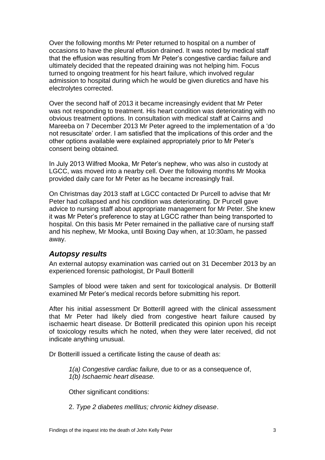Over the following months Mr Peter returned to hospital on a number of occasions to have the pleural effusion drained. It was noted by medical staff that the effusion was resulting from Mr Peter's congestive cardiac failure and ultimately decided that the repeated draining was not helping him. Focus turned to ongoing treatment for his heart failure, which involved regular admission to hospital during which he would be given diuretics and have his electrolytes corrected.

Over the second half of 2013 it became increasingly evident that Mr Peter was not responding to treatment. His heart condition was deteriorating with no obvious treatment options. In consultation with medical staff at Cairns and Mareeba on 7 December 2013 Mr Peter agreed to the implementation of a 'do not resuscitate' order. I am satisfied that the implications of this order and the other options available were explained appropriately prior to Mr Peter's consent being obtained.

In July 2013 Wilfred Mooka, Mr Peter's nephew, who was also in custody at LGCC, was moved into a nearby cell. Over the following months Mr Mooka provided daily care for Mr Peter as he became increasingly frail.

On Christmas day 2013 staff at LGCC contacted Dr Purcell to advise that Mr Peter had collapsed and his condition was deteriorating. Dr Purcell gave advice to nursing staff about appropriate management for Mr Peter. She knew it was Mr Peter's preference to stay at LGCC rather than being transported to hospital. On this basis Mr Peter remained in the palliative care of nursing staff and his nephew, Mr Mooka, until Boxing Day when, at 10:30am, he passed away.

#### <span id="page-4-0"></span>*Autopsy results*

An external autopsy examination was carried out on 31 December 2013 by an experienced forensic pathologist, Dr Paull Botterill

Samples of blood were taken and sent for toxicological analysis. Dr Botterill examined Mr Peter's medical records before submitting his report.

After his initial assessment Dr Botterill agreed with the clinical assessment that Mr Peter had likely died from congestive heart failure caused by ischaemic heart disease. Dr Botterill predicated this opinion upon his receipt of toxicology results which he noted, when they were later received, did not indicate anything unusual.

Dr Botterill issued a certificate listing the cause of death as:

*1(a) Congestive cardiac failure,* due to or as a consequence of, *1(b) Ischaemic heart disease.*

Other significant conditions:

2. *Type 2 diabetes mellitus; chronic kidney disease*.